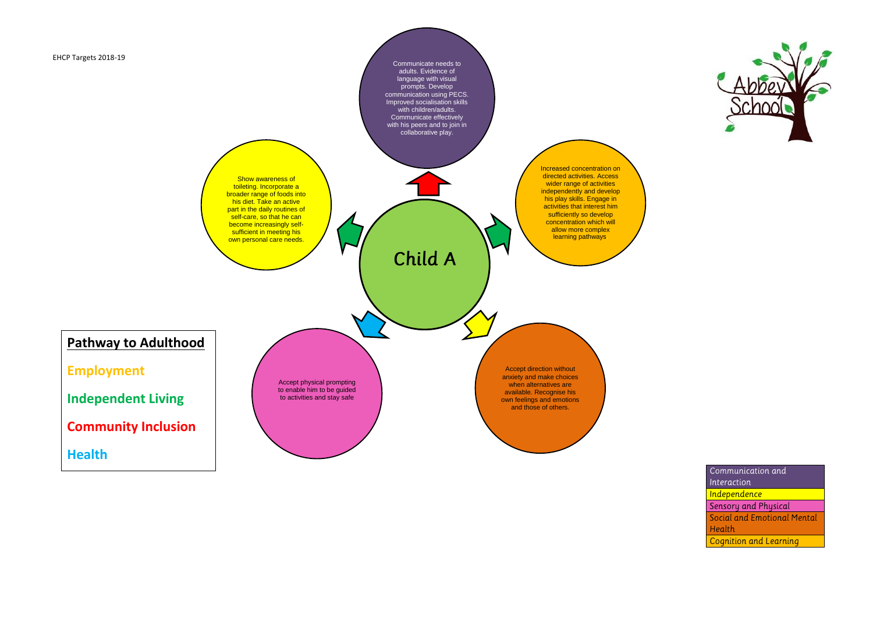

Communicate needs to adults. Evidence of language with visual prompts. Develop communication using PECS. Improved socialisation skills with children/adults. Communicate effectively with his peers and to join in collaborative play.

Show awareness of toileting. Incorporate a **broader range of foods into** his diet. Take an active part in the daily routines of self-care, so that he can become increasingly selfsufficient in meeting his own personal care needs.

Child A

Increased concentration on directed activities. Access wider range of activities independently and develop his play skills. Engage in activities that interest him sufficiently so develop concentration which will allow more complex learning pathways.

Accept direction without anxiety and make choices when alternatives are available. Recognise his own feelings and emotions and those of others.



Communication and Interaction Independence Sensory and Physical Social and Emotional Mental Health **Cognition and Learning** 

Accept physical prompting to enable him to be guided to activities and stay safe

**Pathway to Adulthood**

**Employment** 

**Independent Living**

**Community Inclusion**

**Health**